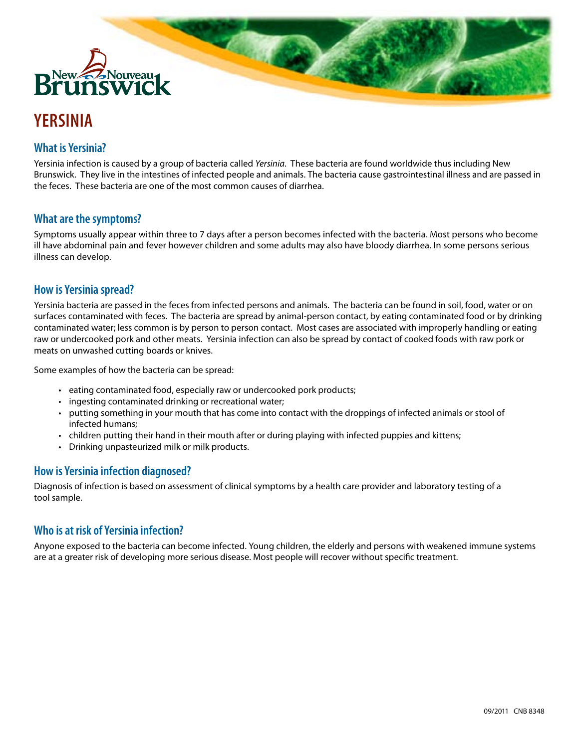

# **YERSINIA**

# **What is Yersinia?**

Yersinia infection is caused by a group of bacteria called *Yersinia*. These bacteria are found worldwide thus including New Brunswick. They live in the intestines of infected people and animals. The bacteria cause gastrointestinal illness and are passed in the feces. These bacteria are one of the most common causes of diarrhea.

# **What are the symptoms?**

Symptoms usually appear within three to 7 days after a person becomes infected with the bacteria. Most persons who become ill have abdominal pain and fever however children and some adults may also have bloody diarrhea. In some persons serious illness can develop.

# **How is Yersinia spread?**

Yersinia bacteria are passed in the feces from infected persons and animals. The bacteria can be found in soil, food, water or on surfaces contaminated with feces. The bacteria are spread by animal-person contact, by eating contaminated food or by drinking contaminated water; less common is by person to person contact. Most cases are associated with improperly handling or eating raw or undercooked pork and other meats. Yersinia infection can also be spread by contact of cooked foods with raw pork or meats on unwashed cutting boards or knives.

Some examples of how the bacteria can be spread:

- eating contaminated food, especially raw or undercooked pork products;
- ingesting contaminated drinking or recreational water;
- • putting something in your mouth that has come into contact with the droppings of infected animals or stool of infected humans;
- • children putting their hand in their mouth after or during playing with infected puppies and kittens;
- • Drinking unpasteurized milk or milk products.

# **How is Yersinia infection diagnosed?**

Diagnosis of infection is based on assessment of clinical symptoms by a health care provider and laboratory testing of a tool sample.

# **Who is at risk of Yersinia infection?**

Anyone exposed to the bacteria can become infected. Young children, the elderly and persons with weakened immune systems are at a greater risk of developing more serious disease. Most people will recover without specific treatment.